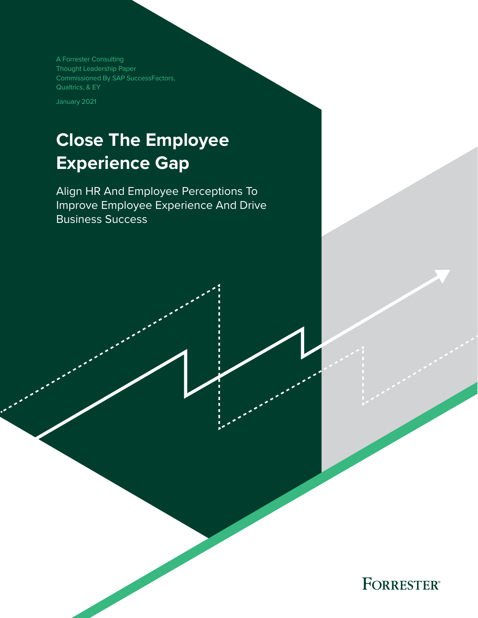A Forrester Consulting Thought Leadership Paper Commissioned By SAP SuccessFactors, Qualtrics, & EY

January 2021

# **Close The Employee Experience Gap**

Align HR And Employee Perceptions To Improve Employee Experience And Drive Business Success

FORRESTER®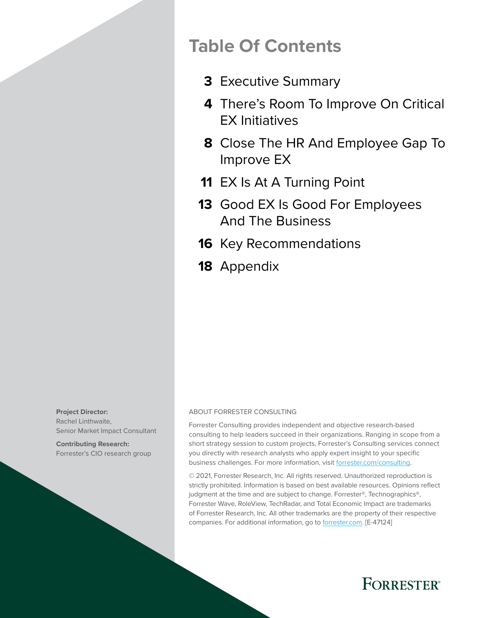## **Table Of Contents**

- [Executive Summary](#page-2-0) **3**
- [There's Room To Improve On Critical](#page-3-0)  **4** [EX Initiatives](#page-3-0)
- [Close The HR And Employee Gap To](#page-7-0)  **8** [Improve EX](#page-7-0)
- 11 [EX Is At A Turning Point](#page-10-0)
- 13 Good EX Is Good For Employees [And The Business](#page-12-0)
- 16 [Key Recommendations](#page-15-0)
- 18 [Appendix](#page-17-0)

**Project Director:**  Rachel Linthwaite, Senior Market Impact Consultant

**Contributing Research:**  Forrester's CIO research group

### ABOUT FORRESTER CONSULTING

Forrester Consulting provides independent and objective research-based consulting to help leaders succeed in their organizations. Ranging in scope from a short strategy session to custom projects, Forrester's Consulting services connect you directly with research analysts who apply expert insight to your specific business challenges. For more information, visit [forrester.com/consulting.](https://go.forrester.com/consulting/)

© 2021, Forrester Research, Inc. All rights reserved. Unauthorized reproduction is strictly prohibited. Information is based on best available resources. Opinions reflect judgment at the time and are subject to change. Forrester®, Technographics®, Forrester Wave, RoleView, TechRadar, and Total Economic Impact are trademarks of Forrester Research, Inc. All other trademarks are the property of their respective companies. For additional information, go to [forrester.com.](https://www.forrester.com/home/) [E-47124]

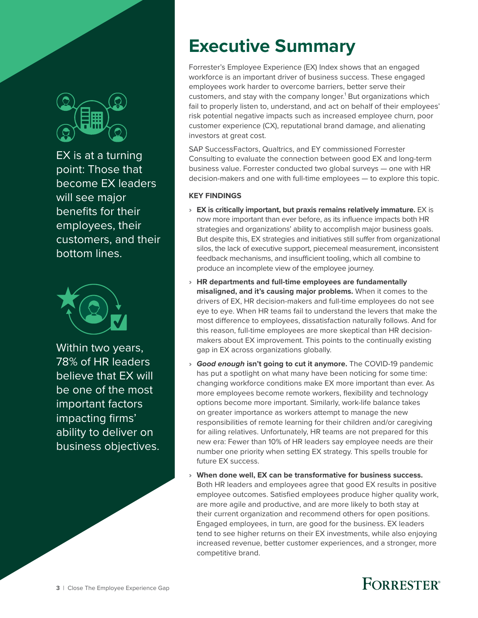<span id="page-2-0"></span>

EX is at a turning point: Those that become EX leaders will see major benefits for their employees, their customers, and their bottom lines.



Within two years, 78% of HR leaders believe that EX will be one of the most important factors impacting firms' ability to deliver on business objectives.

# **Executive Summary**

Forrester's Employee Experience (EX) Index shows that an engaged workforce is an important driver of business success. These engaged employees work harder to overcome barriers, better serve their customers, and stay with the company longer.<sup>1</sup> But organizations which fail to properly listen to, understand, and act on behalf of their employees' risk potential negative impacts such as increased employee churn, poor customer experience (CX), reputational brand damage, and alienating investors at great cost.

SAP SuccessFactors, Qualtrics, and EY commissioned Forrester Consulting to evaluate the connection between good EX and long-term business value. Forrester conducted two global surveys — one with HR decision-makers and one with full-time employees — to explore this topic.

### **KEY FINDINGS**

- › **EX is critically important, but praxis remains relatively immature.** EX is now more important than ever before, as its influence impacts both HR strategies and organizations' ability to accomplish major business goals. But despite this, EX strategies and initiatives still suffer from organizational silos, the lack of executive support, piecemeal measurement, inconsistent feedback mechanisms, and insufficient tooling, which all combine to produce an incomplete view of the employee journey.
- › **HR departments and full-time employees are fundamentally misaligned, and it's causing major problems.** When it comes to the drivers of EX, HR decision-makers and full-time employees do not see eye to eye. When HR teams fail to understand the levers that make the most difference to employees, dissatisfaction naturally follows. And for this reason, full-time employees are more skeptical than HR decisionmakers about EX improvement. This points to the continually existing gap in EX across organizations globally.
- **Good enough isn't going to cut it anymore.** The COVID-19 pandemic has put a spotlight on what many have been noticing for some time: changing workforce conditions make EX more important than ever. As more employees become remote workers, flexibility and technology options become more important. Similarly, work-life balance takes on greater importance as workers attempt to manage the new responsibilities of remote learning for their children and/or caregiving for ailing relatives. Unfortunately, HR teams are not prepared for this new era: Fewer than 10% of HR leaders say employee needs are their number one priority when setting EX strategy. This spells trouble for future EX success.
- › **When done well, EX can be transformative for business success.** Both HR leaders and employees agree that good EX results in positive employee outcomes. Satisfied employees produce higher quality work, are more agile and productive, and are more likely to both stay at their current organization and recommend others for open positions. Engaged employees, in turn, are good for the business. EX leaders tend to see higher returns on their EX investments, while also enjoying increased revenue, better customer experiences, and a stronger, more competitive brand.

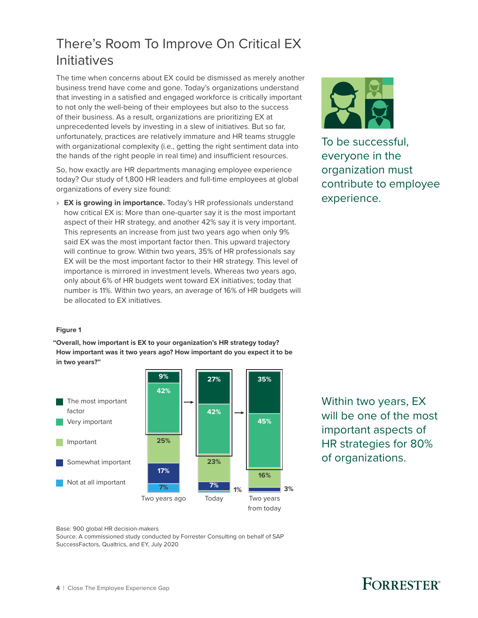## <span id="page-3-0"></span>There's Room To Improve On Critical EX Initiatives

The time when concerns about EX could be dismissed as merely another business trend have come and gone. Today's organizations understand that investing in a satisfied and engaged workforce is critically important to not only the well-being of their employees but also to the success of their business. As a result, organizations are prioritizing EX at unprecedented levels by investing in a slew of initiatives. But so far, unfortunately, practices are relatively immature and HR teams struggle with organizational complexity (i.e., getting the right sentiment data into the hands of the right people in real time) and insufficient resources.

So, how exactly are HR departments managing employee experience today? Our study of 1,800 HR leaders and full-time employees at global organizations of every size found:

› **EX is growing in importance.** Today's HR professionals understand how critical EX is: More than one-quarter say it is the most important aspect of their HR strategy, and another 42% say it is very important. This represents an increase from just two years ago when only 9% said EX was the most important factor then. This upward trajectory will continue to grow. Within two years, 35% of HR professionals say EX will be the most important factor to their HR strategy. This level of importance is mirrored in investment levels. Whereas two years ago, only about 6% of HR budgets went toward EX initiatives; today that number is 11%. Within two years, an average of 16% of HR budgets will be allocated to EX initiatives.



To be successful, everyone in the organization must contribute to employee experience.

### **Figure 1**

**"Overall, how important is EX to your organization's HR strategy today? How important was it two years ago? How important do you expect it to be in two years?"**



Within two years, EX will be one of the most important aspects of HR strategies for 80% of organizations.

Base: 900 global HR decision-makers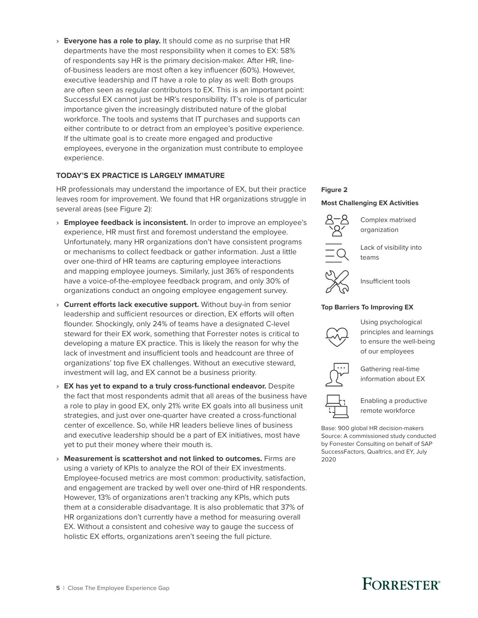› **Everyone has a role to play.** It should come as no surprise that HR departments have the most responsibility when it comes to EX: 58% of respondents say HR is the primary decision-maker. After HR, lineof-business leaders are most often a key influencer (60%). However, executive leadership and IT have a role to play as well: Both groups are often seen as regular contributors to EX. This is an important point: Successful EX cannot just be HR's responsibility. IT's role is of particular importance given the increasingly distributed nature of the global workforce. The tools and systems that IT purchases and supports can either contribute to or detract from an employee's positive experience. If the ultimate goal is to create more engaged and productive employees, everyone in the organization must contribute to employee experience.

### **TODAY'S EX PRACTICE IS LARGELY IMMATURE**

HR professionals may understand the importance of EX, but their practice leaves room for improvement. We found that HR organizations struggle in several areas (see Figure 2):

- › **Employee feedback is inconsistent.** In order to improve an employee's experience, HR must first and foremost understand the employee. Unfortunately, many HR organizations don't have consistent programs or mechanisms to collect feedback or gather information. Just a little over one-third of HR teams are capturing employee interactions and mapping employee journeys. Similarly, just 36% of respondents have a voice-of-the-employee feedback program, and only 30% of organizations conduct an ongoing employee engagement survey.
- › **Current efforts lack executive support.** Without buy-in from senior leadership and sufficient resources or direction, EX efforts will often flounder. Shockingly, only 24% of teams have a designated C-level steward for their EX work, something that Forrester notes is critical to developing a mature EX practice. This is likely the reason for why the lack of investment and insufficient tools and headcount are three of organizations' top five EX challenges. Without an executive steward, investment will lag, and EX cannot be a business priority.
- › **EX has yet to expand to a truly cross-functional endeavor.** Despite the fact that most respondents admit that all areas of the business have a role to play in good EX, only 21% write EX goals into all business unit strategies, and just over one-quarter have created a cross-functional center of excellence. So, while HR leaders believe lines of business and executive leadership should be a part of EX initiatives, most have yet to put their money where their mouth is.
- › **Measurement is scattershot and not linked to outcomes.** Firms are using a variety of KPIs to analyze the ROI of their EX investments. Employee-focused metrics are most common: productivity, satisfaction, and engagement are tracked by well over one-third of HR respondents. However, 13% of organizations aren't tracking any KPIs, which puts them at a considerable disadvantage. It is also problematic that 37% of HR organizations don't currently have a method for measuring overall EX. Without a consistent and cohesive way to gauge the success of holistic EX efforts, organizations aren't seeing the full picture.

### **Figure 2**

### **Most Challenging EX Activities**



Complex matrixed organization



Lack of visibility into teams



Insufficient tools

### **Top Barriers To Improving EX**



Using psychological principles and learnings to ensure the well-being of our employees



Gathering real-time information about EX



Enabling a productive remote workforce

Base: 900 global HR decision-makers Source: A commissioned study conducted by Forrester Consulting on behalf of SAP SuccessFactors, Qualtrics, and EY, July 2020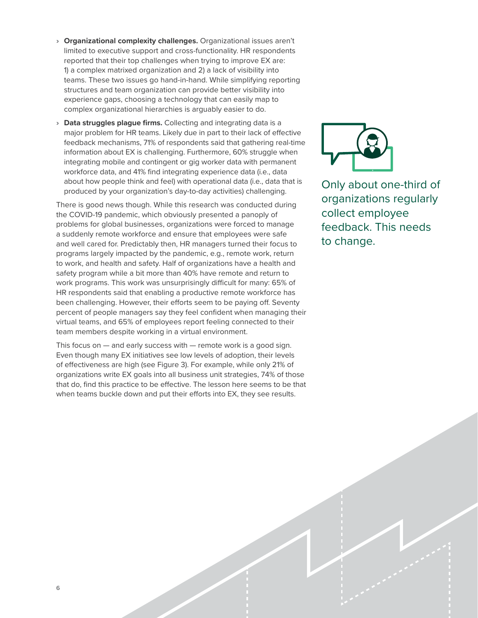- › **Organizational complexity challenges.** Organizational issues aren't limited to executive support and cross-functionality. HR respondents reported that their top challenges when trying to improve EX are: 1) a complex matrixed organization and 2) a lack of visibility into teams. These two issues go hand-in-hand. While simplifying reporting structures and team organization can provide better visibility into experience gaps, choosing a technology that can easily map to complex organizational hierarchies is arguably easier to do.
- › **Data struggles plague firms.** Collecting and integrating data is a major problem for HR teams. Likely due in part to their lack of effective feedback mechanisms, 71% of respondents said that gathering real-time information about EX is challenging. Furthermore, 60% struggle when integrating mobile and contingent or gig worker data with permanent workforce data, and 41% find integrating experience data (i.e., data about how people think and feel) with operational data (i.e., data that is produced by your organization's day-to-day activities) challenging.

There is good news though. While this research was conducted during the COVID-19 pandemic, which obviously presented a panoply of problems for global businesses, organizations were forced to manage a suddenly remote workforce and ensure that employees were safe and well cared for. Predictably then, HR managers turned their focus to programs largely impacted by the pandemic, e.g., remote work, return to work, and health and safety. Half of organizations have a health and safety program while a bit more than 40% have remote and return to work programs. This work was unsurprisingly difficult for many: 65% of HR respondents said that enabling a productive remote workforce has been challenging. However, their efforts seem to be paying off. Seventy percent of people managers say they feel confident when managing their virtual teams, and 65% of employees report feeling connected to their team members despite working in a virtual environment.

This focus on  $-$  and early success with  $-$  remote work is a good sign. Even though many EX initiatives see low levels of adoption, their levels of effectiveness are high (see Figure 3). For example, while only 21% of organizations write EX goals into all business unit strategies, 74% of those that do, find this practice to be effective. The lesson here seems to be that when teams buckle down and put their efforts into EX, they see results.



Only about one-third of organizations regularly collect employee feedback. This needs to change.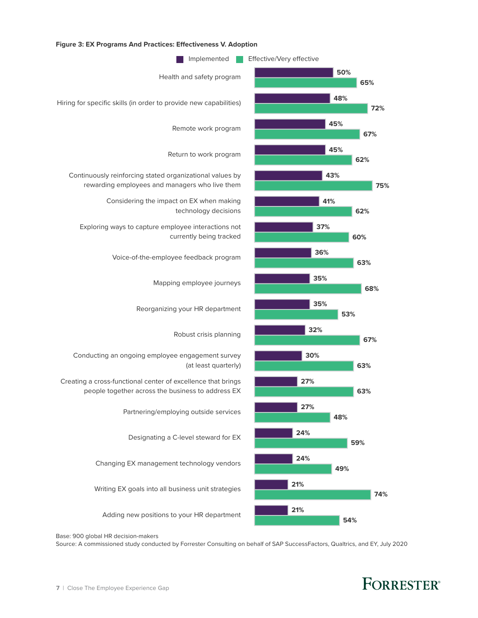

### **Figure 3: EX Programs And Practices: E ectiveness V. Adoption**

Base: 900 global HR decision-makers

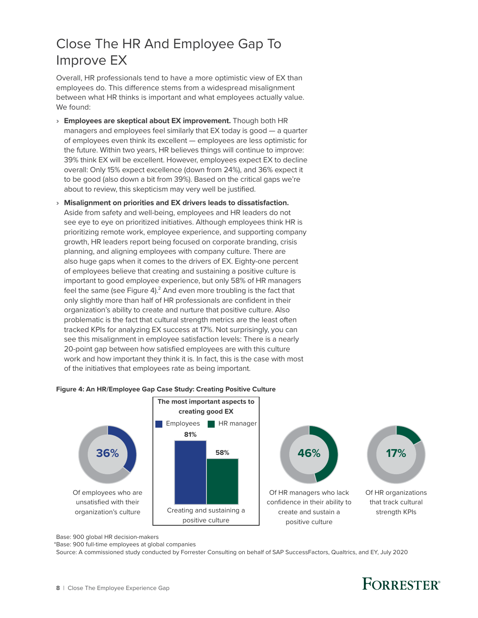## <span id="page-7-0"></span>Close The HR And Employee Gap To Improve EX

Overall, HR professionals tend to have a more optimistic view of EX than employees do. This difference stems from a widespread misalignment between what HR thinks is important and what employees actually value. We found:

- › **Employees are skeptical about EX improvement.** Though both HR managers and employees feel similarly that EX today is good — a quarter of employees even think its excellent — employees are less optimistic for the future. Within two years, HR believes things will continue to improve: 39% think EX will be excellent. However, employees expect EX to decline overall: Only 15% expect excellence (down from 24%), and 36% expect it to be good (also down a bit from 39%). Based on the critical gaps we're about to review, this skepticism may very well be justified.
- › **Misalignment on priorities and EX drivers leads to dissatisfaction.** Aside from safety and well-being, employees and HR leaders do not see eye to eye on prioritized initiatives. Although employees think HR is prioritizing remote work, employee experience, and supporting company growth, HR leaders report being focused on corporate branding, crisis planning, and aligning employees with company culture. There are also huge gaps when it comes to the drivers of EX. Eighty-one percent of employees believe that creating and sustaining a positive culture is important to good employee experience, but only 58% of HR managers feel the same (see Figure 4). $^2$  And even more troubling is the fact that only slightly more than half of HR professionals are confident in their organization's ability to create and nurture that positive culture. Also problematic is the fact that cultural strength metrics are the least often tracked KPIs for analyzing EX success at 17%. Not surprisingly, you can see this misalignment in employee satisfaction levels: There is a nearly 20-point gap between how satisfied employees are with this culture work and how important they think it is. In fact, this is the case with most of the initiatives that employees rate as being important.





Base: 900 global HR decision-makers

\*Base: 900 full-time employees at global companies

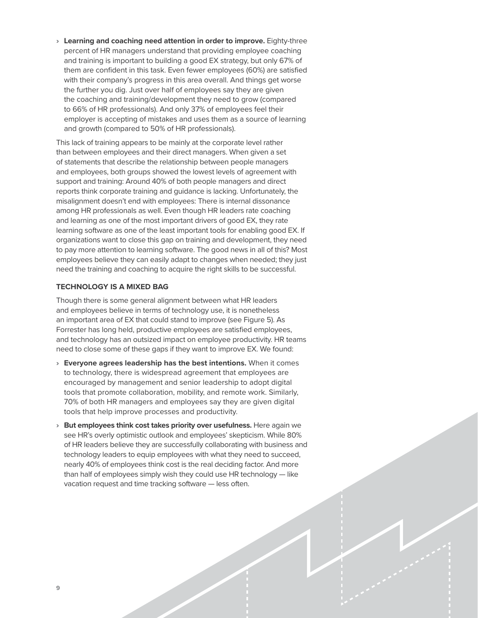› **Learning and coaching need attention in order to improve.** Eighty-three percent of HR managers understand that providing employee coaching and training is important to building a good EX strategy, but only 67% of them are confident in this task. Even fewer employees (60%) are satisfied with their company's progress in this area overall. And things get worse the further you dig. Just over half of employees say they are given the coaching and training/development they need to grow (compared to 66% of HR professionals). And only 37% of employees feel their employer is accepting of mistakes and uses them as a source of learning and growth (compared to 50% of HR professionals).

This lack of training appears to be mainly at the corporate level rather than between employees and their direct managers. When given a set of statements that describe the relationship between people managers and employees, both groups showed the lowest levels of agreement with support and training: Around 40% of both people managers and direct reports think corporate training and guidance is lacking. Unfortunately, the misalignment doesn't end with employees: There is internal dissonance among HR professionals as well. Even though HR leaders rate coaching and learning as one of the most important drivers of good EX, they rate learning software as one of the least important tools for enabling good EX. If organizations want to close this gap on training and development, they need to pay more attention to learning software. The good news in all of this? Most employees believe they can easily adapt to changes when needed; they just need the training and coaching to acquire the right skills to be successful.

### **TECHNOLOGY IS A MIXED BAG**

Though there is some general alignment between what HR leaders and employees believe in terms of technology use, it is nonetheless an important area of EX that could stand to improve (see Figure 5). As Forrester has long held, productive employees are satisfied employees, and technology has an outsized impact on employee productivity. HR teams need to close some of these gaps if they want to improve EX. We found:

- › **Everyone agrees leadership has the best intentions.** When it comes to technology, there is widespread agreement that employees are encouraged by management and senior leadership to adopt digital tools that promote collaboration, mobility, and remote work. Similarly, 70% of both HR managers and employees say they are given digital tools that help improve processes and productivity.
- › **But employees think cost takes priority over usefulness.** Here again we see HR's overly optimistic outlook and employees' skepticism. While 80% of HR leaders believe they are successfully collaborating with business and technology leaders to equip employees with what they need to succeed, nearly 40% of employees think cost is the real deciding factor. And more than half of employees simply wish they could use HR technology — like vacation request and time tracking software — less often.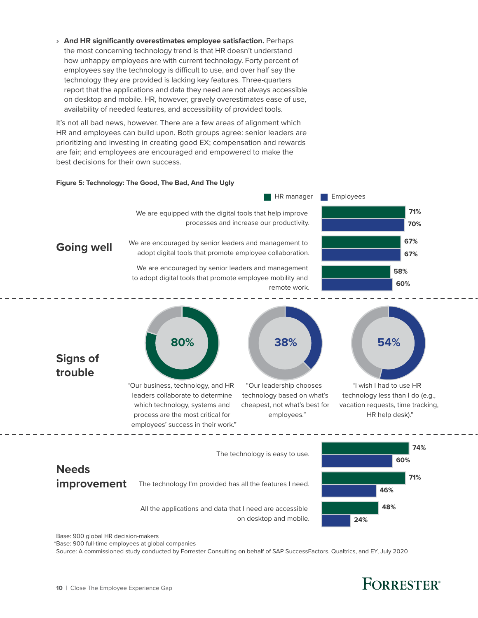› **And HR significantly overestimates employee satisfaction.** Perhaps the most concerning technology trend is that HR doesn't understand how unhappy employees are with current technology. Forty percent of employees say the technology is difficult to use, and over half say the technology they are provided is lacking key features. Three-quarters report that the applications and data they need are not always accessible on desktop and mobile. HR, however, gravely overestimates ease of use, availability of needed features, and accessibility of provided tools.

It's not all bad news, however. There are a few areas of alignment which HR and employees can build upon. Both groups agree: senior leaders are prioritizing and investing in creating good EX; compensation and rewards are fair; and employees are encouraged and empowered to make the best decisions for their own success.

### **Figure 5: Technology: The Good, The Bad, And The Ugly**



Base: 900 global HR decision-makers

\*Base: 900 full-time employees at global companies

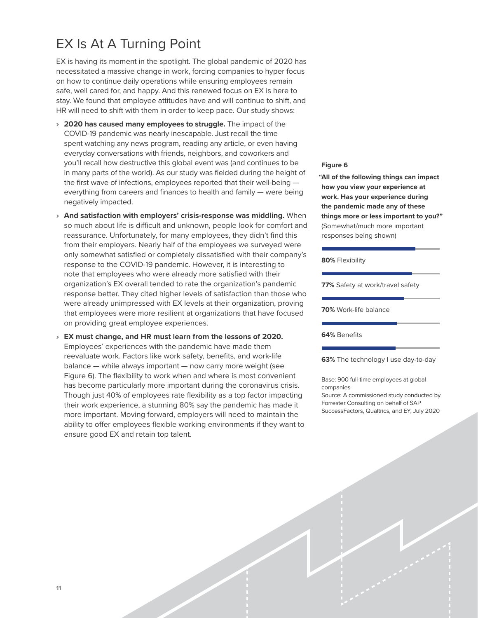## <span id="page-10-0"></span>EX Is At A Turning Point

EX is having its moment in the spotlight. The global pandemic of 2020 has necessitated a massive change in work, forcing companies to hyper focus on how to continue daily operations while ensuring employees remain safe, well cared for, and happy. And this renewed focus on EX is here to stay. We found that employee attitudes have and will continue to shift, and HR will need to shift with them in order to keep pace. Our study shows:

- › **2020 has caused many employees to struggle.** The impact of the COVID-19 pandemic was nearly inescapable. Just recall the time spent watching any news program, reading any article, or even having everyday conversations with friends, neighbors, and coworkers and you'll recall how destructive this global event was (and continues to be in many parts of the world). As our study was fielded during the height of the first wave of infections, employees reported that their well-being everything from careers and finances to health and family — were being negatively impacted.
- › **And satisfaction with employers' crisis-response was middling.** When so much about life is difficult and unknown, people look for comfort and reassurance. Unfortunately, for many employees, they didn't find this from their employers. Nearly half of the employees we surveyed were only somewhat satisfied or completely dissatisfied with their company's response to the COVID-19 pandemic. However, it is interesting to note that employees who were already more satisfied with their organization's EX overall tended to rate the organization's pandemic response better. They cited higher levels of satisfaction than those who were already unimpressed with EX levels at their organization, proving that employees were more resilient at organizations that have focused on providing great employee experiences.
- › **EX must change, and HR must learn from the lessons of 2020.** Employees' experiences with the pandemic have made them reevaluate work. Factors like work safety, benefits, and work-life balance — while always important — now carry more weight (see Figure 6). The flexibility to work when and where is most convenient has become particularly more important during the coronavirus crisis. Though just 40% of employees rate flexibility as a top factor impacting their work experience, a stunning 80% say the pandemic has made it more important. Moving forward, employers will need to maintain the ability to offer employees flexible working environments if they want to ensure good EX and retain top talent.

### **Figure 6**

**"All of the following things can impact how you view your experience at work. Has your experience during the pandemic made any of these things more or less important to you?"**  (Somewhat/much more important responses being shown)

**80%** Flexibility

**77%** Safety at work/travel safety

**70%** Work-life balance

**64%** Benefits

**63%** The technology I use day-to-day

Base: 900 full-time employees at global companies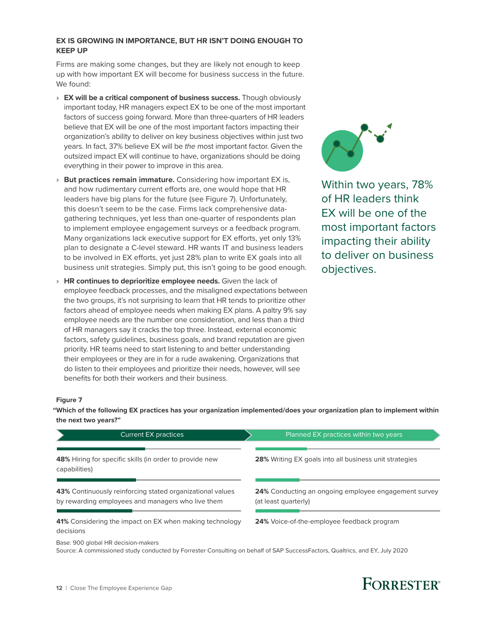### **EX IS GROWING IN IMPORTANCE, BUT HR ISN'T DOING ENOUGH TO KEEP UP**

Firms are making some changes, but they are likely not enough to keep up with how important EX will become for business success in the future. We found:

- › **EX will be a critical component of business success.** Though obviously important today, HR managers expect EX to be one of the most important factors of success going forward. More than three-quarters of HR leaders believe that EX will be one of the most important factors impacting their organization's ability to deliver on key business objectives within just two years. In fact, 37% believe EX will be *the* most important factor. Given the outsized impact EX will continue to have, organizations should be doing everything in their power to improve in this area.
- › **But practices remain immature.** Considering how important EX is, and how rudimentary current efforts are, one would hope that HR leaders have big plans for the future (see Figure 7). Unfortunately, this doesn't seem to be the case. Firms lack comprehensive datagathering techniques, yet less than one-quarter of respondents plan to implement employee engagement surveys or a feedback program. Many organizations lack executive support for EX efforts, yet only 13% plan to designate a C-level steward. HR wants IT and business leaders to be involved in EX efforts, yet just 28% plan to write EX goals into all business unit strategies. Simply put, this isn't going to be good enough.
- › **HR continues to deprioritize employee needs.** Given the lack of employee feedback processes, and the misaligned expectations between the two groups, it's not surprising to learn that HR tends to prioritize other factors ahead of employee needs when making EX plans. A paltry 9% say employee needs are the number one consideration, and less than a third of HR managers say it cracks the top three. Instead, external economic factors, safety guidelines, business goals, and brand reputation are given priority. HR teams need to start listening to and better understanding their employees or they are in for a rude awakening. Organizations that do listen to their employees and prioritize their needs, however, will see benefits for both their workers and their business.



Within two years, 78% of HR leaders think EX will be one of the most important factors impacting their ability to deliver on business objectives.

### **Figure 7**

**"Which of the following EX practices has your organization implemented/does your organization plan to implement within the next two years?"**

| <b>Current EX practices</b>                                                                                    | Planned EX practices within two years                                               |
|----------------------------------------------------------------------------------------------------------------|-------------------------------------------------------------------------------------|
| 48% Hiring for specific skills (in order to provide new<br>capabilities)                                       | <b>28%</b> Writing EX goals into all business unit strategies                       |
| 43% Continuously reinforcing stated organizational values<br>by rewarding employees and managers who live them | <b>24%</b> Conducting an ongoing employee engagement survey<br>(at least quarterly) |
| 41% Considering the impact on EX when making technology<br>decisions                                           | <b>24%</b> Voice-of-the-employee feedback program                                   |
| Base: 900 global HR decision-makers                                                                            |                                                                                     |

Source: A commissioned study conducted by Forrester Consulting on behalf of SAP SuccessFactors, Qualtrics, and EY, July 2020



## **FORRESTER**<sup>®</sup>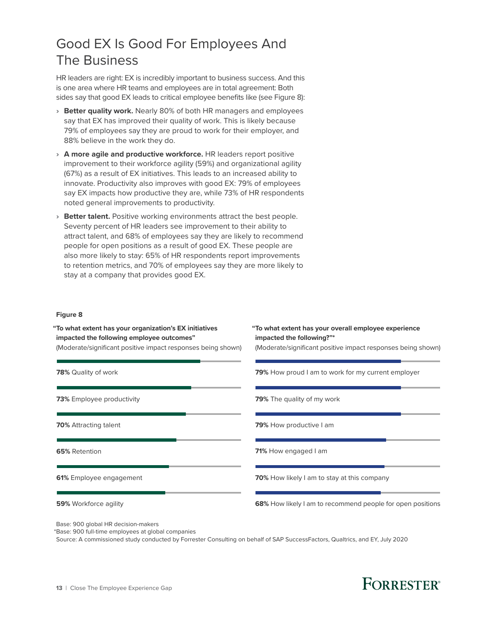## <span id="page-12-0"></span>Good EX Is Good For Employees And The Business

HR leaders are right: EX is incredibly important to business success. And this is one area where HR teams and employees are in total agreement: Both sides say that good EX leads to critical employee benefits like (see Figure 8):

- › **Better quality work.** Nearly 80% of both HR managers and employees say that EX has improved their quality of work. This is likely because 79% of employees say they are proud to work for their employer, and 88% believe in the work they do.
- › **A more agile and productive workforce.** HR leaders report positive improvement to their workforce agility (59%) and organizational agility (67%) as a result of EX initiatives. This leads to an increased ability to innovate. Productivity also improves with good EX: 79% of employees say EX impacts how productive they are, while 73% of HR respondents noted general improvements to productivity.
- › **Better talent.** Positive working environments attract the best people. Seventy percent of HR leaders see improvement to their ability to attract talent, and 68% of employees say they are likely to recommend people for open positions as a result of good EX. These people are also more likely to stay: 65% of HR respondents report improvements to retention metrics, and 70% of employees say they are more likely to stay at a company that provides good EX.

### **Figure 8**

**"To what extent has your organization's EX initiatives impacted the following employee outcomes"**  (Moderate/significant positive impact responses being shown) **"To what extent has your overall employee experience impacted the following?"\***  (Moderate/significant positive impact responses being shown) Base: 900 global HR decision-makers **78%** Quality of work **73%** Employee productivity **70%** Attracting talent **79%** How proud I am to work for my current employer **79%** The quality of my work **79%** How productive I am **65%** Retention **61%** Employee engagement **59%** Workforce agility **71%** How engaged I am **70%** How likely I am to stay at this company **68%** How likely I am to recommend people for open positions

\*Base: 900 full-time employees at global companies

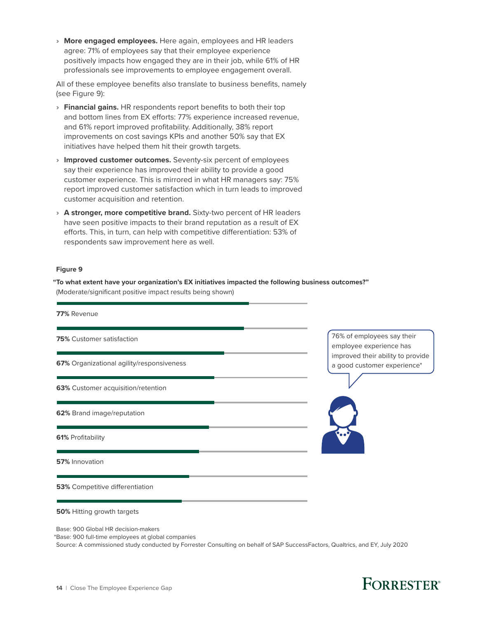› **More engaged employees.** Here again, employees and HR leaders agree: 71% of employees say that their employee experience positively impacts how engaged they are in their job, while 61% of HR professionals see improvements to employee engagement overall.

All of these employee benefits also translate to business benefits, namely (see Figure 9):

- › **Financial gains.** HR respondents report benefits to both their top and bottom lines from EX efforts: 77% experience increased revenue, and 61% report improved profitability. Additionally, 38% report improvements on cost savings KPIs and another 50% say that EX initiatives have helped them hit their growth targets.
- › **Improved customer outcomes.** Seventy-six percent of employees say their experience has improved their ability to provide a good customer experience. This is mirrored in what HR managers say: 75% report improved customer satisfaction which in turn leads to improved customer acquisition and retention.
- › **A stronger, more competitive brand.** Sixty-two percent of HR leaders have seen positive impacts to their brand reputation as a result of EX efforts. This, in turn, can help with competitive differentiation: 53% of respondents saw improvement here as well.

### **Figure 9**

**"To what extent have your organization's EX initiatives impacted the following business outcomes?"** (Moderate/significant positive impact results being shown)



Base: 900 Global HR decision-makers

\*Base: 900 full-time employees at global companies

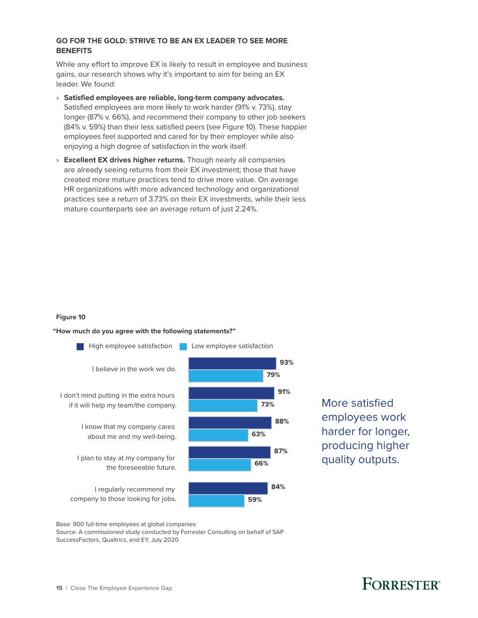### **GO FOR THE GOLD: STRIVE TO BE AN EX LEADER TO SEE MORE BENEFITS**

While any effort to improve EX is likely to result in employee and business gains, our research shows why it's important to aim for being an EX leader. We found:

› **Satisfied employees are reliable, long-term company advocates.** Satisfied employees are more likely to work harder (91% v. 73%), stay

longer (87% v. 66%), and recommend their company to other job seekers (84% v. 59%) than their less satisfied peers (see Figure 10). These happier employees feel supported and cared for by their employer while also enjoying a high degree of satisfaction in the work itself.

› **Excellent EX drives higher returns.** Though nearly all companies are already seeing returns from their EX investment; those that have created more mature practices tend to drive more value. On average HR organizations with more advanced technology and organizational practices see a return of 3.73% on their EX investments, while their less mature counterparts see an average return of just 2.24%.

### **Figure 10**

### **"How much do you agree with the following statements?"**



More satisfied employees work harder for longer, producing higher quality outputs.

Base: 900 full-time employees at global companies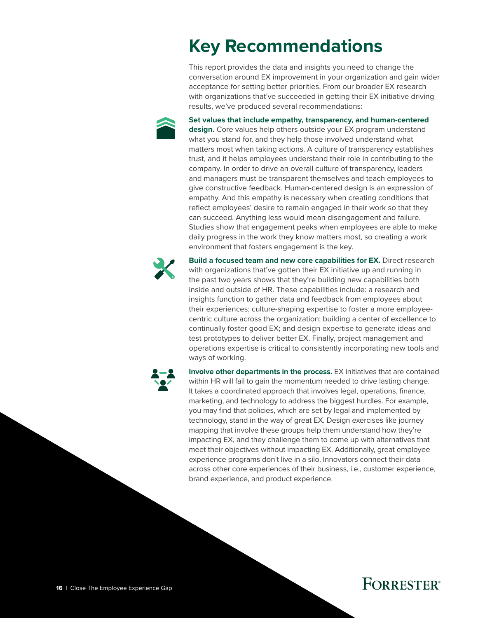# **Key Recommendations**

This report provides the data and insights you need to change the conversation around EX improvement in your organization and gain wider acceptance for setting better priorities. From our broader EX research with organizations that've succeeded in getting their EX initiative driving results, we've produced several recommendations:

<span id="page-15-0"></span>

**Set values that include empathy, transparency, and human-centered** 

**design.** Core values help others outside your EX program understand what you stand for, and they help those involved understand what matters most when taking actions. A culture of transparency establishes trust, and it helps employees understand their role in contributing to the company. In order to drive an overall culture of transparency, leaders and managers must be transparent themselves and teach employees to give constructive feedback. Human-centered design is an expression of empathy. And this empathy is necessary when creating conditions that reflect employees' desire to remain engaged in their work so that they can succeed. Anything less would mean disengagement and failure. Studies show that engagement peaks when employees are able to make daily progress in the work they know matters most, so creating a work environment that fosters engagement is the key.



**Build a focused team and new core capabilities for EX.** Direct research with organizations that've gotten their EX initiative up and running in the past two years shows that they're building new capabilities both inside and outside of HR. These capabilities include: a research and insights function to gather data and feedback from employees about their experiences; culture-shaping expertise to foster a more employeecentric culture across the organization; building a center of excellence to continually foster good EX; and design expertise to generate ideas and test prototypes to deliver better EX. Finally, project management and operations expertise is critical to consistently incorporating new tools and ways of working.



**Involve other departments in the process.** EX initiatives that are contained within HR will fail to gain the momentum needed to drive lasting change. It takes a coordinated approach that involves legal, operations, finance, marketing, and technology to address the biggest hurdles. For example, you may find that policies, which are set by legal and implemented by technology, stand in the way of great EX. Design exercises like journey mapping that involve these groups help them understand how they're impacting EX, and they challenge them to come up with alternatives that meet their objectives without impacting EX. Additionally, great employee experience programs don't live in a silo. Innovators connect their data across other core experiences of their business, i.e., customer experience, brand experience, and product experience.

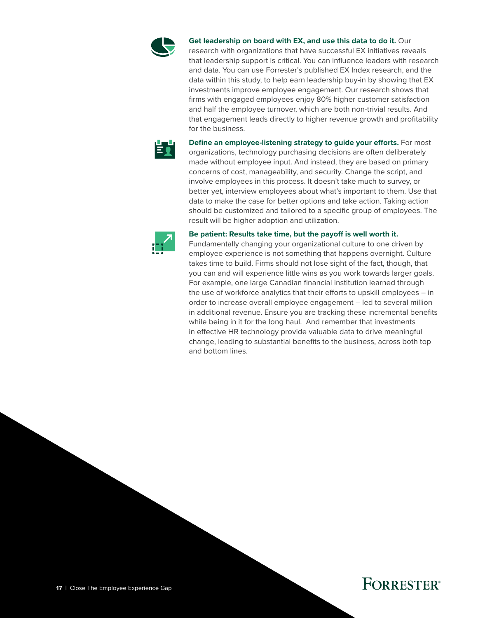

**Get leadership on board with EX, and use this data to do it.** Our

research with organizations that have successful EX initiatives reveals that leadership support is critical. You can influence leaders with research and data. You can use Forrester's published EX Index research, and the data within this study, to help earn leadership buy-in by showing that EX investments improve employee engagement. Our research shows that firms with engaged employees enjoy 80% higher customer satisfaction and half the employee turnover, which are both non-trivial results. And that engagement leads directly to higher revenue growth and profitability for the business.



**Define an employee-listening strategy to guide your efforts.** For most organizations, technology purchasing decisions are often deliberately made without employee input. And instead, they are based on primary concerns of cost, manageability, and security. Change the script, and involve employees in this process. It doesn't take much to survey, or better yet, interview employees about what's important to them. Use that data to make the case for better options and take action. Taking action should be customized and tailored to a specific group of employees. The result will be higher adoption and utilization.



#### **Be patient: Results take time, but the payoff is well worth it.**

Fundamentally changing your organizational culture to one driven by employee experience is not something that happens overnight. Culture takes time to build. Firms should not lose sight of the fact, though, that you can and will experience little wins as you work towards larger goals. For example, one large Canadian financial institution learned through the use of workforce analytics that their efforts to upskill employees – in order to increase overall employee engagement – led to several million in additional revenue. Ensure you are tracking these incremental benefits while being in it for the long haul. And remember that investments in effective HR technology provide valuable data to drive meaningful change, leading to substantial benefits to the business, across both top and bottom lines.

### **FORRESTER®**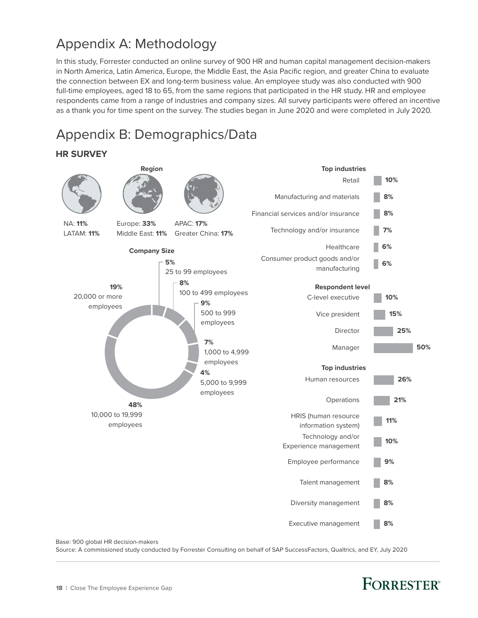## <span id="page-17-0"></span>Appendix A: Methodology

In this study, Forrester conducted an online survey of 900 HR and human capital management decision-makers in North America, Latin America, Europe, the Middle East, the Asia Pacific region, and greater China to evaluate the connection between EX and long-term business value. An employee study was also conducted with 900 full-time employees, aged 18 to 65, from the same regions that participated in the HR study. HR and employee respondents came from a range of industries and company sizes. All survey participants were offered an incentive as a thank you for time spent on the survey. The studies began in June 2020 and were completed in July 2020.

## Appendix B: Demographics/Data

### **HR SURVEY**



Base: 900 global HR decision-makers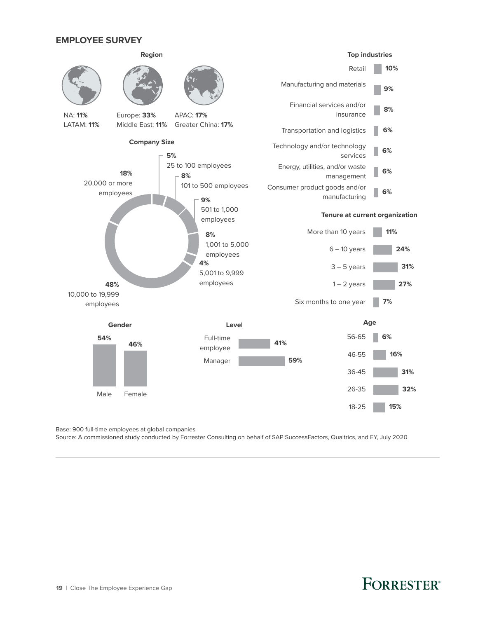### **EMPLOYEE SURVEY**



Base: 900 full-time employees at global companies